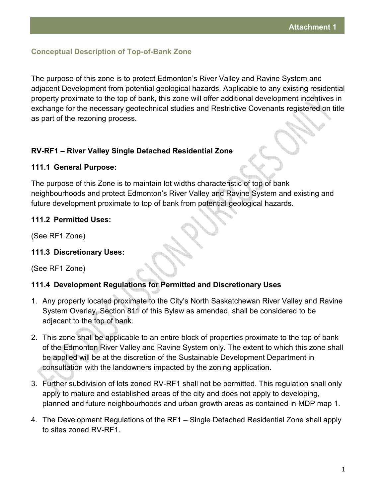## **Conceptual Description of Top-of-Bank Zone**

The purpose of this zone is to protect Edmonton's River Valley and Ravine System and adjacent Development from potential geological hazards. Applicable to any existing residential property proximate to the top of bank, this zone will offer additional development incentives in exchange for the necessary geotechnical studies and Restrictive Covenants registered on title as part of the rezoning process.

#### **RV-RF1 – River Valley Single Detached Residential Zone**

#### **111.1 General Purpose:**

The purpose of this Zone is to maintain lot widths characteristic of top of bank neighbourhoods and protect Edmonton's River Valley and Ravine System and existing and future development proximate to top of bank from potential geological hazards.

#### **111.2 Permitted Uses:**

(See RF1 Zone)

### **111.3 Discretionary Uses:**

(See RF1 Zone)

# **111.4 Development Regulations for Permitted and Discretionary Uses**

- 1. Any property located proximate to the City's North Saskatchewan River Valley and Ravine System Overlay, Section 811 of this Bylaw as amended, shall be considered to be adjacent to the top of bank.
- 2. This zone shall be applicable to an entire block of properties proximate to the top of bank of the Edmonton River Valley and Ravine System only. The extent to which this zone shall be applied will be at the discretion of the Sustainable Development Department in consultation with the landowners impacted by the zoning application.
- 3. Further subdivision of lots zoned RV-RF1 shall not be permitted. This regulation shall only apply to mature and established areas of the city and does not apply to developing, planned and future neighbourhoods and urban growth areas as contained in MDP map 1.
- 4. The Development Regulations of the RF1 Single Detached Residential Zone shall apply to sites zoned RV-RF1.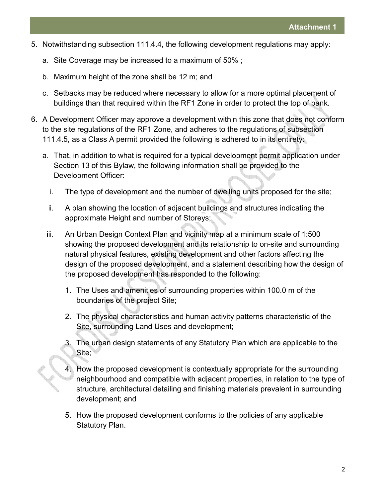- 5. Notwithstanding subsection 111.4.4, the following development regulations may apply:
	- a. Site Coverage may be increased to a maximum of 50% ;
	- b. Maximum height of the zone shall be 12 m; and
	- c. Setbacks may be reduced where necessary to allow for a more optimal placement of buildings than that required within the RF1 Zone in order to protect the top of bank.
- 6. A Development Officer may approve a development within this zone that does not conform to the site regulations of the RF1 Zone, and adheres to the regulations of subsection 111.4.5, as a Class A permit provided the following is adhered to in its entirety:
	- a. That, in addition to what is required for a typical development permit application under Section 13 of this Bylaw, the following information shall be provided to the Development Officer:
		- i. The type of development and the number of dwelling units proposed for the site;
		- ii. A plan showing the location of adjacent buildings and structures indicating the approximate Height and number of Storeys;
	- iii. An Urban Design Context Plan and vicinity map at a minimum scale of 1:500 showing the proposed development and its relationship to on-site and surrounding natural physical features, existing development and other factors affecting the design of the proposed development, and a statement describing how the design of the proposed development has responded to the following:
		- 1. The Uses and amenities of surrounding properties within 100.0 m of the boundaries of the project Site;
		- 2. The physical characteristics and human activity patterns characteristic of the Site, surrounding Land Uses and development;
		- 3. The urban design statements of any Statutory Plan which are applicable to the Site;
		- 4. How the proposed development is contextually appropriate for the surrounding neighbourhood and compatible with adjacent properties, in relation to the type of structure, architectural detailing and finishing materials prevalent in surrounding development; and
		- 5. How the proposed development conforms to the policies of any applicable Statutory Plan.